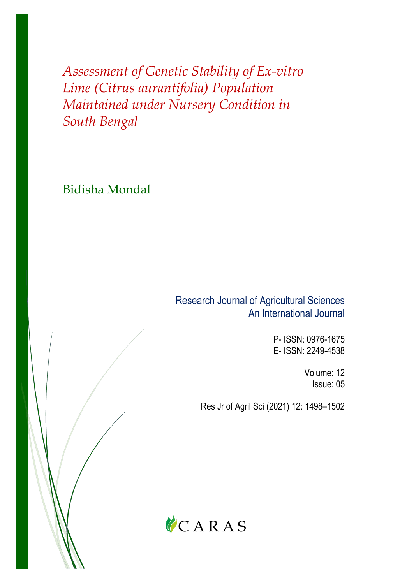*Assessment of Genetic Stability of Ex-vitro Lime (Citrus aurantifolia) Population Maintained under Nursery Condition in South Bengal*

Bidisha Mondal

Research Journal of Agricultural Sciences An International Journal

> P- ISSN: 0976-1675 E- ISSN: 2249-4538

> > Volume: 12 Issue: 05

Res Jr of Agril Sci (2021) 12: 1498–1502

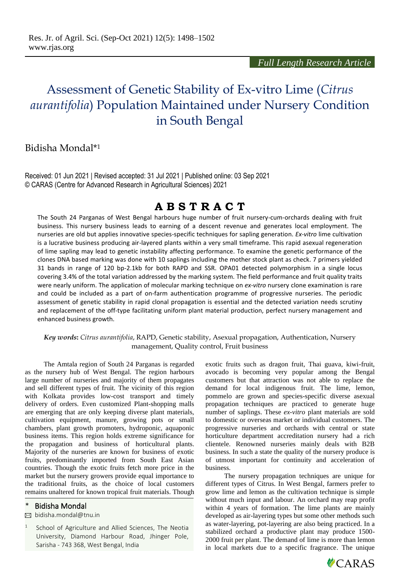# Assessment of Genetic Stability of Ex-vitro Lime (*Citrus aurantifolia*) Population Maintained under Nursery Condition in South Bengal

### Bidisha Mondal\* 1

Received: 01 Jun 2021 | Revised accepted: 31 Jul 2021 | Published online: 03 Sep 2021 © CARAS (Centre for Advanced Research in Agricultural Sciences) 2021

## **A B S T R A C T**

The South 24 Parganas of West Bengal harbours huge number of fruit nursery-cum-orchards dealing with fruit business. This nursery business leads to earning of a descent revenue and generates local employment. The nurseries are old but applies innovative species-specific techniques for sapling generation. *Ex-vitro* lime cultivation is a lucrative business producing air-layered plants within a very small timeframe. This rapid asexual regeneration of lime sapling may lead to genetic instability affecting performance. To examine the genetic performance of the clones DNA based marking was done with 10 saplings including the mother stock plant as check. 7 primers yielded 31 bands in range of 120 bp-2.1kb for both RAPD and SSR. OPA01 detected polymorphism in a single locus covering 3.4% of the total variation addressed by the marking system. The field performance and fruit quality traits were nearly uniform. The application of molecular marking technique on *ex-vitro* nursery clone examination is rare and could be included as a part of on-farm authentication programme of progressive nurseries. The periodic assessment of genetic stability in rapid clonal propagation is essential and the detected variation needs scrutiny and replacement of the off-type facilitating uniform plant material production, perfect nursery management and enhanced business growth.

*Key words***:** *Citrus aurantifolia*, RAPD, Genetic stability, Asexual propagation, Authentication, Nursery management, Quality control, Fruit business

The Amtala region of South 24 Parganas is regarded as the nursery hub of West Bengal. The region harbours large number of nurseries and majority of them propagates and sell different types of fruit. The vicinity of this region with Kolkata provides low-cost transport and timely delivery of orders. Even customized Plant-shopping malls are emerging that are only keeping diverse plant materials, cultivation equipment, manure, growing pots or small chambers, plant growth promoters, hydroponic, aquaponic business items. This region holds extreme significance for the propagation and business of horticultural plants. Majority of the nurseries are known for business of exotic fruits, predominantly imported from South East Asian countries. Though the exotic fruits fetch more price in the market but the nursery growers provide equal importance to the traditional fruits, as the choice of local customers remains unaltered for known tropical fruit materials. Though

#### Bidisha Mondal

bidisha.mondal@tnu.in

1 School of Agriculture and Allied Sciences, The Neotia University, Diamond Harbour Road, Jhinger Pole, Sarisha - 743 368, West Bengal, India

exotic fruits such as dragon fruit, Thai guava, kiwi-fruit, avocado is becoming very popular among the Bengal customers but that attraction was not able to replace the demand for local indigenous fruit. The lime, lemon, pommelo are grown and species-specific diverse asexual propagation techniques are practiced to generate huge number of saplings. These *ex-vitro* plant materials are sold to domestic or overseas market or individual customers. The progressive nurseries and orchards with central or state horticulture department accreditation nursery had a rich clientele. Renowned nurseries mainly deals with B2B business. In such a state the quality of the nursery produce is of utmost important for continuity and acceleration of business.

The nursery propagation techniques are unique for different types of Citrus. In West Bengal, farmers prefer to grow lime and lemon as the cultivation technique is simple without much input and labour. An orchard may reap profit within 4 years of formation. The lime plants are mainly developed as air-layering types but some other methods such as water-layering, pot-layering are also being practiced. In a stabilized orchard a productive plant may produce 1500- 2000 fruit per plant. The demand of lime is more than lemon in local markets due to a specific fragrance. The unique

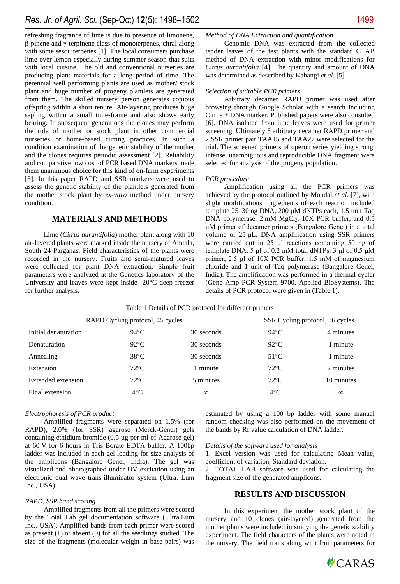refreshing fragrance of lime is due to presence of limonene, β-pinene and γ-terpinene class of monoterpenes, citral along with some sesquiterpenes [1]. The local consumers purchase lime over lemon especially during summer season that suits with local cuisine. The old and conventional nurseries are producing plant materials for a long period of time. The perennial well performing plants are used as mother/ stock plant and huge number of progeny plantlets are generated from them. The skilled nursery person generates copious offspring within a short tenure. Air-layering produces huge sapling within a small time-frame and also shows early bearing. In subsequent generations the clones may perform the role of mother or stock plant in other commercial nurseries or home-based cutting practices. In such a condition examination of the genetic stability of the mother and the clones requires periodic assessment [2]. Reliability and comparative low cost of PCR based DNA markers made them unanimous choice for this kind of on-farm experiments [3]. In this paper RAPD and SSR markers were used to assess the genetic stability of the plantlets generated from the mother stock plant by *ex-vitro* method under nursery condition.

#### **MATERIALS AND METHODS**

Lime (*Citrus aurantifolia*) mother plant along with 10 air-layered plants were marked inside the nursery of Amtala, South 24 Parganas. Field characteristics of the plants were recorded in the nursery. Fruits and semi-matured leaves were collected for plant DNA extraction. Simple fruit parameters were analyzed at the Genetics laboratory of the University and leaves were kept inside -20°C deep-freezer for further analysis.

#### *Method of DNA Extraction and quantification*

Genomic DNA was extracted from the collected tender leaves of the test plants with the standard CTAB method of DNA extraction with minor modifications for *Citrus aurantifolia* [4]. The quantity and amount of DNA was determined as described by Kahangi *et al*. [5].

#### *Selection of suitable PCR primers*

Arbitrary decamer RAPD primer was used after browsing through Google Scholar with a search including Citrus + DNA marker. Published papers were also consulted [6]. DNA isolated from lime leaves were used for primer screening. Ultimately 5 arbitrary decamer RAPD primer and 2 SSR primer pair TAA15 and TAA27 were selected for the trial. The screened primers of operon series yielding strong, intense, unambiguous and reproducible DNA fragment were selected for analysis of the progeny population.

#### *PCR procedure*

Amplification using all the PCR primers was achieved by the protocol outlined by Mondal *et al*. [7], with slight modifications. Ingredients of each reaction included template 25–30 ng DNA, 200 µM dNTPs each, 1.5 unit Taq DNA polymerase, 2 mM MgCl<sub>2</sub>, 10X PCR buffer, and 0.5 μM primer of decamer primers (Bangalore Genei) in a total volume of 25 µL. DNA amplification using SSR primers were carried out in 25 μl reactions containing 50 ng of template DNA, 5 μl of 0.2 mM total dNTPs, 3 μl of 0.5 μM primer, 2.5 μl of 10X PCR buffer, 1.5 mM of magnesium chloride and 1 unit of Taq polymerase (Bangalore Genei, India). The amplification was performed in a thermal cycler (Gene Amp PCR System 9700, Applied BioSystems). The details of PCR protocol were given in (Table 1).

| RAPD Cycling protocol, 45 cycles |                |            | SSR Cycling protocol, 36 cycles |            |
|----------------------------------|----------------|------------|---------------------------------|------------|
| Initial denaturation             | $94^{\circ}$ C | 30 seconds | $94^{\circ}$ C                  | 4 minutes  |
| Denaturation                     | $92^{\circ}C$  | 30 seconds | $92^{\circ}$ C                  | 1 minute   |
| Annealing                        | $38^{\circ}$ C | 30 seconds | $51^{\circ}$ C                  | 1 minute   |
| Extension                        | $72^{\circ}$ C | 1 minute   | $72^{\circ}$ C                  | 2 minutes  |
| Extended extension               | $72^{\circ}$ C | 5 minutes  | $72^{\circ}$ C                  | 10 minutes |
| Final extension                  | $4^{\circ}$ C  | $\infty$   | $4^{\circ}$ C                   | $\infty$   |

Table 1 Details of PCR protocol for different primers

#### *Electrophoresis of PCR product*

Amplified fragments were separated on 1.5% (for RAPD), 2.0% (for SSR) agarose (Merck-Genei) gels containing ethidium bromide (0.5 µg per ml of Agarose gel) at 60 V for 6 hours in Tris Borate EDTA buffer. A 100bp ladder was included in each gel loading for size analysis of the amplicons (Bangalore Genei, India). The gel was visualized and photographed under UV excitation using an electronic dual wave trans-illuminator system (Ultra. Lum Inc., USA).

#### *RAPD, SSR band scoring*

Amplified fragments from all the primers were scored by the Total Lab gel documentation software (Ultra.Lum Inc., USA). Amplified bands from each primer were scored as present (1) or absent (0) for all the seedlings studied. The size of the fragments (molecular weight in base pairs) was

estimated by using a 100 bp ladder with some manual random checking was also performed on the movement of the bands by Rf value calculation of DNA ladder.

#### *Details of the software used for analysis*

1. Excel version was used for calculating Mean value, coefficient of variation, Standard deviation.

2. TOTAL LAB software was used for calculating the fragment size of the generated amplicons.

#### **RESULTS AND DISCUSSION**

In this experiment the mother stock plant of the nursery and 10 clones (air-layered) generated from the mother plants were included in studying the genetic stability experiment. The field characters of the plants were noted in the nursery. The field traits along with fruit parameters for

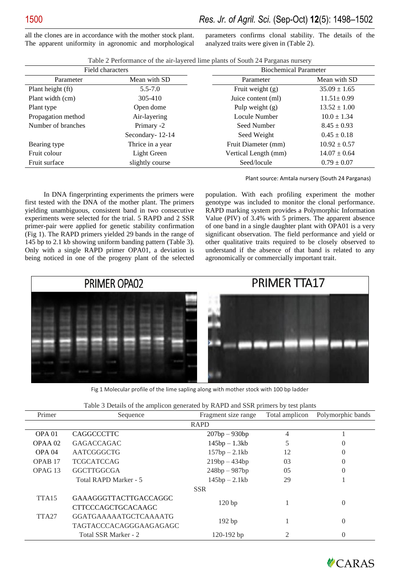all the clones are in accordance with the mother stock plant. The apparent uniformity in agronomic and morphological parameters confirms clonal stability. The details of the analyzed traits were given in (Table 2).

| Field characters   |                  | <b>Biochemical Parameter</b> |                  |  |
|--------------------|------------------|------------------------------|------------------|--|
| Parameter          | Mean with SD     | Parameter                    | Mean with SD     |  |
| Plant height (ft)  | $5.5 - 7.0$      | Fruit weight $(g)$           | $35.09 \pm 1.65$ |  |
| Plant width (cm)   | 305-410          | Juice content (ml)           | $11.51 \pm 0.99$ |  |
| Plant type         | Open dome        | Pulp weight $(g)$            | $13.52 \pm 1.00$ |  |
| Propagation method | Air-layering     | Locule Number                | $10.0 \pm 1.34$  |  |
| Number of branches | Primary -2       | Seed Number                  | $8.45 \pm 0.93$  |  |
|                    | Secondary-12-14  | Seed Weight                  | $0.45 \pm 0.18$  |  |
| Bearing type       | Thrice in a year | Fruit Diameter (mm)          | $10.92 \pm 0.57$ |  |
| Fruit colour       | Light Green      | Vertical Length (mm)         | $14.07 \pm 0.64$ |  |
| Fruit surface      | slightly course  | Seed/locule                  | $0.79 \pm 0.07$  |  |

Table 2 Performance of the air-layered lime plants of South 24 Parganas nursery

Plant source: Amtala nursery (South 24 Parganas)

In DNA fingerprinting experiments the primers were first tested with the DNA of the mother plant. The primers yielding unambiguous, consistent band in two consecutive experiments were selected for the trial. 5 RAPD and 2 SSR primer-pair were applied for genetic stability confirmation (Fig 1). The RAPD primers yielded 29 bands in the range of 145 bp to 2.1 kb showing uniform banding pattern (Table 3). Only with a single RAPD primer OPA01, a deviation is being noticed in one of the progeny plant of the selected

population. With each profiling experiment the mother genotype was included to monitor the clonal performance. RAPD marking system provides a Polymorphic Information Value (PIV) of 3.4% with 5 primers. The apparent absence of one band in a single daughter plant with OPA01 is a very significant observation. The field performance and yield or other qualitative traits required to be closely observed to understand if the absence of that band is related to any agronomically or commercially important trait.



Fig 1 Molecular profile of the lime sapling along with mother stock with 100 bp ladder

| Table 3 Details of the amplicon generated by RAPD and SSR primers by test plants |  |  |
|----------------------------------------------------------------------------------|--|--|

| Primer             | Sequence                         | Fragment size range | Total amplicon | Polymorphic bands |  |
|--------------------|----------------------------------|---------------------|----------------|-------------------|--|
| <b>RAPD</b>        |                                  |                     |                |                   |  |
| OPA <sub>01</sub>  | <b>CAGGCCCTTC</b>                | $207bp - 930bp$     | 4              |                   |  |
| OPAA 02            | <b>GAGACCAGAC</b>                | $145bp - 1.3kb$     | 5              | O                 |  |
| OPA <sub>04</sub>  | AATCGGGCTG                       | $157bp - 2.1kb$     | 12             | $\left( \right)$  |  |
| OPAB <sub>17</sub> | <b>TCGCATCCAG</b>                | $219bp - 434bp$     | 03             | 0                 |  |
| OPAG <sub>13</sub> | <b>GGCTTGGCGA</b>                | $248bp - 987bp$     | 05             | $\left( \right)$  |  |
|                    | Total RAPD Marker - 5            | $145bp - 2.1kb$     | 29             |                   |  |
| <b>SSR</b>         |                                  |                     |                |                   |  |
| TTA <sub>15</sub>  | <b>GAAAGGGTTACTTGACCAGGC</b>     |                     |                | $\overline{0}$    |  |
|                    | <b>CTTCCCAGCTGCACAAGC</b>        | 120bp               |                |                   |  |
| TTA <sub>27</sub>  | <b>GGATGAAAAAATGCTCAAAATG</b>    |                     |                | $\overline{0}$    |  |
|                    | 192 bp<br>TAGTACCCACAGGGAAGAGAGC |                     |                |                   |  |
|                    | Total SSR Marker - 2             | $120-192$ bp        | 2              | 0                 |  |

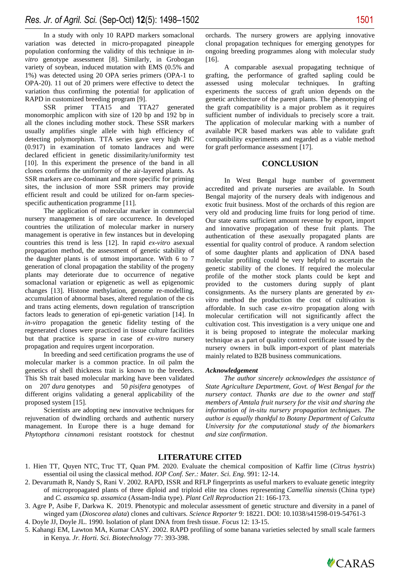In a study with only 10 RAPD markers somaclonal variation was detected in micro-propagated pineapple population conforming the validity of this technique in *invitro* genotype assessment [8]. Similarly, in Grobogan variety of soybean, induced mutation with EMS (0.5% and 1%) was detected using 20 OPA series primers (OPA-1 to OPA-20). 11 out of 20 primers were effective to detect the variation thus confirming the potential for application of RAPD in customized breeding program [9].

SSR primer TTA15 and TTA27 generated monomorphic amplicon with size of 120 bp and 192 bp in all the clones including mother stock. These SSR markers usually amplifies single allele with high efficiency of detecting polymorphism. TTA series gave very high PIC (0.917) in examination of tomato landraces and were declared efficient in genetic dissimilarity/uniformity test [10]. In this experiment the presence of the band in all clones confirms the uniformity of the air-layered plants. As SSR markers are co-dominant and more specific for priming sites, the inclusion of more SSR primers may provide efficient result and could be utilized for on-farm speciesspecific authentication programme [11].

The application of molecular marker in commercial nursery management is of rare occurrence. In developed countries the utilization of molecular marker in nursery management is operative in few instances but in developing countries this trend is less [12]. In rapid *ex-vitro* asexual propagation method, the assessment of genetic stability of the daughter plants is of utmost importance. With 6 to 7 generation of clonal propagation the stability of the progeny plants may deteriorate due to occurrence of negative somaclonal variation or epigenetic as well as epigenomic changes [13]. Histone methylation, genome re-modelling, accumulation of abnormal bases, altered regulation of the cis and trans acting elements, down regulation of transcription factors leads to generation of epi-genetic variation [14]. In *in-vitro* propagation the genetic fidelity testing of the regenerated clones were practiced in tissue culture facilities but that practice is sparse in case of *ex-vitro* nursery propagation and requires urgent incorporation.

In breeding and seed certification programs the use of molecular marker is a common practice. In oil palm the genetics of shell thickness trait is known to the breeders. This Sh trait based molecular marking have been validated on 207 *dura* genotypes and 50 *pisifera* genotypes of different origins validating a general applicability of the proposed system [15].

Scientists are adopting new innovative techniques for rejuvenation of dwindling orchards and authentic nursery management. In Europe there is a huge demand for *Phytopthora cinnamon*i resistant rootstock for chestnut orchards. The nursery growers are applying innovative clonal propagation techniques for emerging genotypes for ongoing breeding programmes along with molecular study [16].

A comparable asexual propagating technique of grafting, the performance of grafted sapling could be assessed using molecular techniques. In grafting experiments the success of graft union depends on the genetic architecture of the parent plants. The phenotyping of the graft compatibility is a major problem as it requires sufficient number of individuals to precisely score a trait. The application of molecular marking with a number of available PCR based markers was able to validate graft compatibility experiments and regarded as a viable method for graft performance assessment [17].

#### **CONCLUSION**

In West Bengal huge number of government accredited and private nurseries are available. In South Bengal majority of the nursery deals with indigenous and exotic fruit business. Most of the orchards of this region are very old and producing lime fruits for long period of time. Our state earns sufficient amount revenue by export, import and innovative propagation of these fruit plants. The authentication of these asexually propagated plants are essential for quality control of produce. A random selection of some daughter plants and application of DNA based molecular profiling could be very helpful to ascertain the genetic stability of the clones. If required the molecular profile of the mother stock plants could be kept and provided to the customers during supply of plant consignments. As the nursery plants are generated by *exvitro* method the production the cost of cultivation is affordable. In such case *ex-vitro* propagation along with molecular certification will not significantly affect the cultivation cost. This investigation is a very unique one and it is being proposed to integrate the molecular marking technique as a part of quality control certificate issued by the nursery owners in bulk import-export of plant materials mainly related to B2B business communications.

#### *Acknowledgement*

*The author sincerely acknowledges the assistance of State Agriculture Department, Govt. of West Bengal for the nursery contact. Thanks are due to the owner and staff members of Amtala fruit nursery for the visit and sharing the information of in-situ nursery propagation techniques. The author is equally thankful to Botany Department of Calcutta University for the computational study of the biomarkers and size confirmation*.

#### **LITERATURE CITED**

- 1. Hien TT, Quyen NTC, Truc TT, Quan PM. 2020. Evaluate the chemical composition of Kaffir lime (*Citrus hystrix*) essential oil using the classical method. *IOP Conf. Ser.: Mater. Sci. Eng.* 991: 12-14.
- 2. Devarumath R, Nandy S, Rani V. 2002. RAPD, ISSR and RFLP fingerprints as useful markers to evaluate genetic integrity of micropropagated plants of three diploid and triploid elite tea clones representing *Camellia sinensis* (China type) and *C. assamica* sp. *assamica* (Assam-India type). *Plant Cell Reproduction* 21: 166-173.
- 3. Agre P, Asibe F, Darkwa K. 2019. Phenotypic and molecular assessment of genetic structure and diversity in a panel of winged yam (*Dioscorea alata*) clones and cultivars. *Science Reporter* 9: 18221[. DOI: 10.1038/s41598-019-54761-3](https://doi.org/10.1038/s41598-019-54761-3)
- 4. Doyle JJ, Doyle JL. 1990. Isolation of plant DNA from fresh tissue. *Focus* 12: 13-15.
- 5. Kahangi EM, Lawton MA, Kumar CASY. 2002. RAPD profiling of some banana varieties selected by small scale farmers in Kenya. *Jr. Horti. Sci. Biotechnology* 77: 393-398.